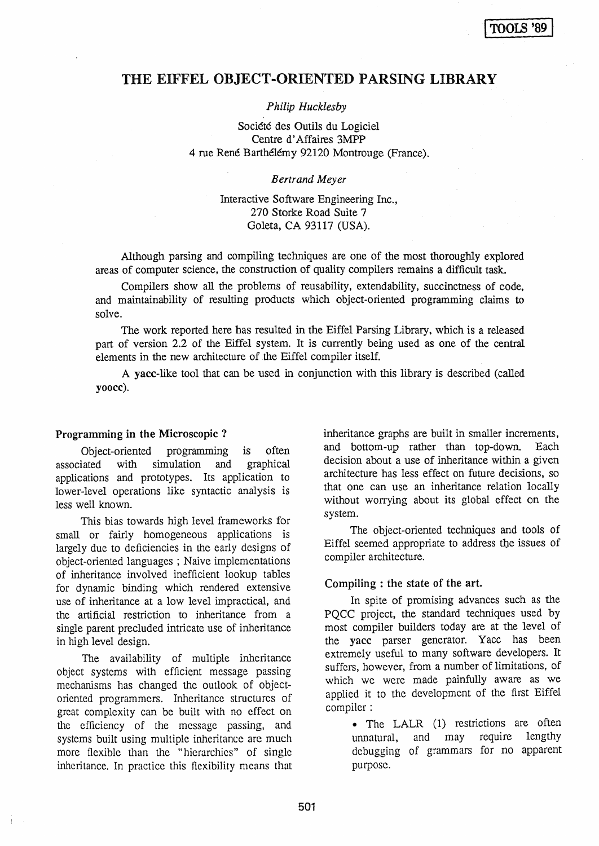# THE EIFFEL OBJECT-ORIENTED PARSING LIBRARY

# *Philip Hucklesby*

Société des Outils du Logiciel Centre d' Affaires 3MPP 4 rue Rene Barthelemy 92120 Montrouge (France).

## *Bertrand Meyer*

# Interactive Software Engineering Inc., 270 Storke Road Suite 7 Goleta, CA 93117 (USA).

Although parsing and compiling techniques are one of the most thoroughly explored areas of computer science, the construction of quality compilers remains a difficult task.

Compilers show all the problems of reusability, extendability, succinctness of code, and maintainability of resulting products which object-oriented programming claims to solve.

The work reported here has resulted in the Eiffel Parsing Library, which is a released part of version 2.2 of the Eiffel system. It is currently being used as one of the central elements in the new architecture of the Eiffel compiler itself.

A yacc-like tool that can be used in conjunction with this library is described (called yoocc).

# Programming in the Microscopic ?

Object-oriented programming is often associated with simulation and graphical applications and prototypes. Its application to lower-level operations like syntactic analysis is less well known.

This bias towards high level frameworks for small or fairly homogeneous applications is largely due to deficiencies in the early designs of object-oriented languages; Naive implementations of inheritance involved inefficient lookup tables for dynamic binding which rendered extensive use of inheritance at a low level impractical, and the artificial restriction to inheritance from a single parent precluded intricate use of inheritance in high level design.

The availability of multiple inheritance object systems with efficient message passing mechanisms has changed the outlook of objectoriented programmers. Inheritance structures of great complexity can be built with no effect on the efficiency of the message passing, and systems built using multiple inheritance are much more flexible than the "hierarchies" of single inheritance. In practice this flexibility means that inheritance graphs are built in smaller increments, and bottom-up rather than top-down. Each decision about a use of inheritance within a given architecture has less effect on future decisions, so that one can use an inheritance relation locally without worrying about its global effect on the system.

The object-oriented techniques and tools of Eiffel seemed appropriate to address tbe issues of compiler architecture.

# Compiling : the state of the art.

In spite of promising advances such as the PQCC project, the standard techniques used by most compiler builders today are at the level of the yacc parser generator. Yacc has been extremely useful to many software developers. It suffers, however, from a number of limitations, of which we were made painfully aware as we applied it to the development of the first Eiffel compiler:

> • The LALR (1) restrictions are often unnatural, and may require lengthy dcbugging of grammars for no apparent purpose.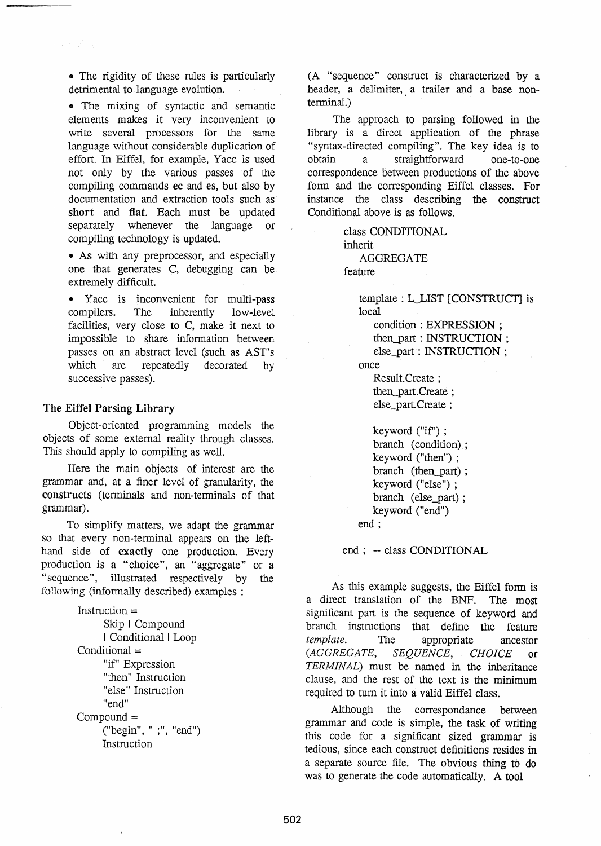• The rigidity of these rules is particularly detrimental to.language evolution.

• The mixing of syntactic and semantic elements makes it very inconvenient to write several processors for the same language without considerable duplication of effort. In Eiffel, for example, Yacc is used not only by the various passes of the compiling commands ec and es, but also by documentation and extraction tools such· as short and flat. Each must be updated separately whenever the language or compiling technology is updated.

• As with any preprocessor, and especially one that generates C, debugging can be extremely difficult.

• Yacc is inconvenient for multi-pass compilers. The inherently low-level facilities, very close to C, make it next to impossible to share information between passes on an abstract level (such as AST's which are repeatedly decorated by successive passes).

#### The Eiffel Parsing Library

Object-oriented programming models the objects of some external reality through classes. This should apply to compiling as well.

Here the main objects of interest are the grammar and, at a finer level of granularity, the constructs (terminals and non-terminals of that grammar).

To simplify matters, we adapt the grammar so that every non-terminal appears on the lefthand side of exactly one production. Every production is a "choice", an "aggregate" or a "sequence", illustrated respectively by the following (infonnally described) examples :

```
Instruction = 
     Skip I Compound 
     I Conditional I Loop 
Conditional ="if" Expression
     "then" Instruction 
     "else" Instruction 
     "end" 
Compound = 
     ("begin", " ;", "end") 
     Instruction
```
(A "sequence" construct is characterized by a header, a delimiter, a trailer and a base nonterminal.)

The approach to parsing followed in the library is a direct application of the phrase "syntax -directed compiling". The key idea is to obtain a straightforward one-to-one correspondence between productions of the above form and the corresponding Eiffel classes. For instance the class describing the construct Conditional above is as follows.

> class CONDITIONAL inherit AGGREGATE

feature

template: L\_LIST [CONSTRUCT] is local

condition: EXPRESSION;

then\_part: INSTRUCTION;

else\_part: INSTRUCTION; once

Result. Create ; then\_part.Create ; else\_part. Create ;

keyword ("if') ; branch (condition); keyword ("then") ; branch (then part); keyword ("else") ; branch (else\_part); keyword ("end")

end;

end; -- class CONDITIONAL

As this example suggests, the Eiffel form is a direct translation of the BNF. The most significant part is the sequence of keyword and branch instructions that define the feature *template.* The appropriate ancestor *(AGGREGATE, SEQUENCE, CHOICE* or *TERMINAL)* must be named in the inheritance clause, and the rest of the text is the minimum required to tum it into a valid Eiffel class.

Although the correspondance between grammar and code is simple, the task of writing this code for a significant sized grammar is tedious, since each construct definitions resides in a separate source file. The obvious thing to do was to generate the code automatically. A tool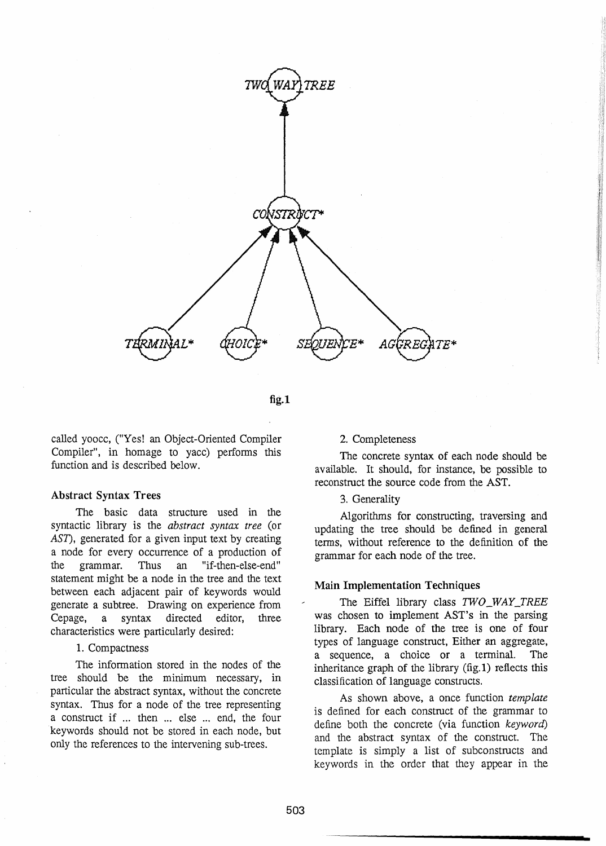

fig.1

called yoocc, ("Yes! an Object-Oriented Compiler Compiler", in homage to yacc) performs this function and is described below.

#### Abstract Syntax Trees

The basic data structure used in the syntactic library is the *abstract syntax tree* (or *AST),* generated for a given input text by creating a node for every occurrence of a production of the grammar. Thus an "if-then-else-end" statement might be a node in the tree and the text between each adjacent pair of keywords would generate a subtree. Drawing on experience from Cepage, a syntax directed editor, three characteristics were particularly desired:

## 1. Compactness

The information stored in the nodes of the tree should be the minimum necessary, in particular the abstract syntax, without the concrete syntax. Thus for a node of the tree representing a construct if ... then ... else ... end, the four keywords should not be stored in each node, but only the references to the intervening sub-trees.

#### 2. Completeness

The concrete syntax of each node should be available. It should, for instance, be possible to reconstruct the source code from the AST.

#### 3. Generality

Algorithms for constructing, traversing and updating the tree should be defined in general tenns, without reference to the definition of the grammar for each node of the tree.

# Main Implementation Techniques

The Eiffel library class *TWO\_WAY\_TREE*  was chosen to implement AST's in the parsing library. Each node of the tree is one of four types of language construct, Either an aggregate, a sequence, a choice or a terminal. The inheritance graph of the library (fig. 1) reflects this classification of language constructs.

As shown above, a once function *template*  is defined for each construct of the grammar to define both the concrete (via function *keyword)*  and the abstract syntax of the construct. The template is simply a list of subconstructs and keywords in the order that they appear in the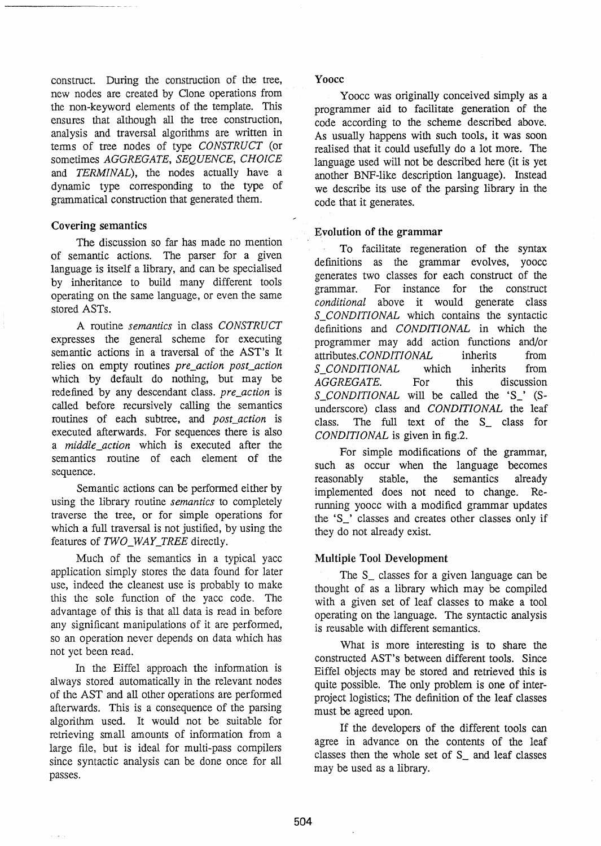construct. During the construction of the tree, new nodes are created by Gone operations from the non-keyword elements of the template. This ensures that although all the tree construction, analysis and traversal algorithms are written in tenns of tree nodes of type *CONSTRUCT* (or sometimes *AGGREGATE, SEQUENCE, CHOICE*  and *TERMINAL),* the nodes actually have a dynamic type corresponding to the type of grammatical construction that generated them.

## Covering semantics

The discussion so far has made no mention of semantic actions. The parser for a given language is itself a library, and can be specialised by inheritance to build many different tools operating on the same language, or even the same stored ASTs.

A routine *semantics* in class *CONSTRUCT*  expresses the general scheme for executing semantic actions in a traversal of the AST's It relies on empty routines *pre\_action post\_action*  which by default do nothing, but may be redefined by any descendant class. *pre\_action* is called before recursively calling the semantics routines of each subtree, and *post\_action* is executed afterwards. For sequences there is also a *middle\_action* which is executed after the semantics routine of each element of the sequence.

Semantic actions can be performed either by using the library routine *semantics* to completely traverse the tree, or for simple operations for which a full traversal is not justified, by using the features of *TWO\_WAY\_TREE* directly.

Much of the semantics in a typical yacc application simply stores the data found for later use, indeed the cleanest use is probably to make this the sole function of the yacc code. The advantage of this is that all data is read in before any significant manipulations of it are perfonned, so an operation never depends on data which has not yet been read.

In the Eiffel approach the information is always stored automatically in the relevant nodes of the AST and all other operations are perfonned afterwards. This is a consequence of the parsing algorithm used. It would not be suitable for retrieving small amounts of information from a large file, but is ideal for multi-pass compilers since syntactic analysis can be done once for all passes.

#### Yoocc

Yoocc was originally conceived simply as a programmer aid to facilitate generation of the code according to the scheme described above. As usually happens with such tools, it was soon realised that it could usefully do a lot more. The language used will not be described here (it is yet another BNF-like description language). Instead we describe its use of the parsing library in the code that it generates.

## Evolution of the grammar

To facilitate regeneration of the syntax definitions as the grammar evolves, yoocc generates two classes for each construct of the grammar. For instance for the construct *conditional* above it would generate class *S\_CONDITIONAL* which contains the syntactic definitions and *CONDITIONAL* in which the programmer may add action functions and/or attributes.CONDITIONAL inherits from<br>S CONDITIONAL which inherits from S\_CONDITIONAL which *AGGREGATE.* For this discussion *S\_CONDITIONAL* will be called the 'S\_' (Sunderscore) class and *CONDITIONAL* the leaf class. The full text of the S\_ class for *CONDITIONAL* is given in fig.2.

For simple modifications of the grammar, such as occur when the language becomes reasonably stable, the semantics already implemented does not need to change. Rerunning yoocc with a modified grammar updates the 'S\_' classes and creates other classes only if they do not already exist.

# Multiple Tool Development

The S\_ classes for a given language can be thought of as a library which may be compiled with a given set of leaf classes to make a tool operating on the language. The syntactic analysis is reusable with different semantics.

What is more interesting is to share the constructed AST's between different tools. Since Eiffel objects may be stored and retrieved this is quite possible. The only problem is one of interproject logistics; The definition of the leaf classes must be agreed upon.

If the developers of the different tools can agree in advance on the contents of the leaf classes then the whole set of S\_ and leaf classes may be used as a library.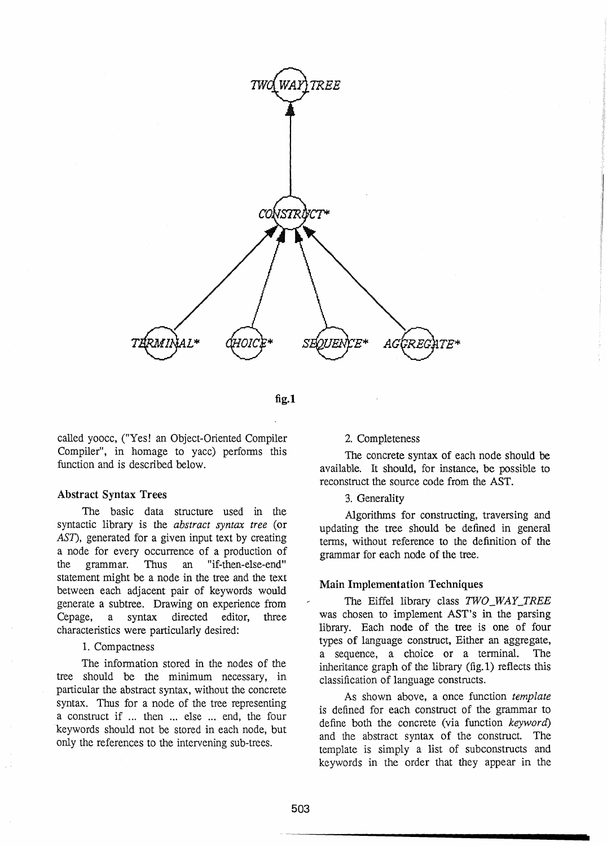

fig.1

called yoocc, ("Yes! an Object-Oriented Compiler Compiler", in homage to yacc) performs this function and is described below.

## Abstract Syntax Trees

The basic data structure used in the syntactic library is the *abstract syntax tree* (or *AST),* generated for a given input text by creating a node for every occurrence of a production of the grammar. Thus an "if-then-else-end" statement might be a node in the tree and the text between each adjacent pair of keywords would generate a subtree. Drawing on experience from Cepage, a syntax directed editor, three characteristics were particularly desired:

## 1. Compactness

The information stored in the nodes of the tree should be the minimum necessary, in particular the abstract syntax, without the concrete syntax. Thus for a node of the tree representing a construct if ... then ... else ... end, the four keywords should not be stored in each node, but only the references to the intervening sub-trees.

## 2. Completeness

The concrete syntax of each node should be available. It should, for instance, be possible to reconstruct the source code from the AST.

## 3. Generality

Algorithms for constructing, traversing and updating the tree should be defined in general terms, without reference to the definition of the grammar for each node of the tree.

#### Main Implementation Techniques

The Eiffel library class *TWO\_WAY\_TREE*  was chosen to implement AST's in the parsing library. Each node of the tree is one of four types of language construct, Either an aggregate, a sequence, a choice or a terminal. The inheritance graph of the library (fig. 1) reflects this classification of language constructs.

As shown above, a once function *template*  is defined for each construct of the grammar to define both the concrete (via function *keyword)*  and the abstract syntax of the construct. The template is simply a list of sub constructs and keywords in the order that they appear in the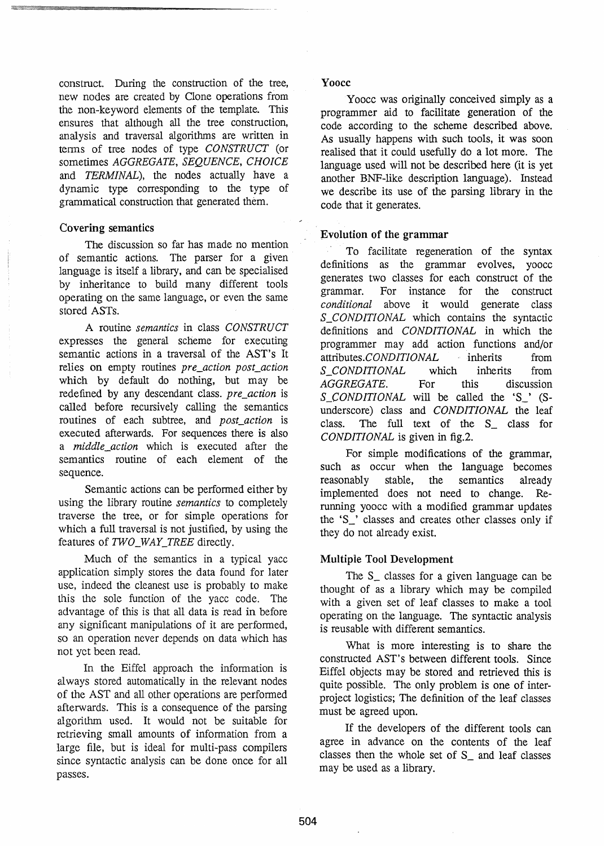construct. During the construction of the tree, new nodes are created by Clone operations from the non-keyword elements of the template. This ensures that although all the tree construction, analysis and traversal algorithms are written in terms of tree nodes of type *CONSTRUCT* (or sometimes *AGGREGATE, SEQUENCE, CHOICE*  and *TERMINAL),* the nodes actually have a dynamic type corresponding to the type of grammatical construction that generated them.

# Covering semantics

The discussion so far has made no mention of semantic actions. The parser for a given language is itself a library, and can be specialised by inheritance to build many different tools operating on the same language, or even the same stored ASTs.

A routine *semantics* in class *CONSTRUCT*  expresses the general scheme for executing semantic actions in a traversal of the AST's It relies on empty routines *pre\_action post action* which by default do nothing, but may be redefined by any descendant class. *pre\_action* is called before recursively calling the semantics routines of each subtree, and *post action* is executed afterwards. For sequences there is also a *middle\_action* which is executed after the semantics routine of each element of the sequence.

Semantic actions can be performed either by using the library routine *semantics* to completely traverse the tree, or for simple operations for which a full traversal is not justified, by using the features of *TWO\_WAY\_TREE* directly.

Much of the semantics in a typical yacc application simply stores the data found for later use, indeed the cleanest use is probably to make this the sole function of the yacc code. The advantage of this is that all data is read in before any significant manipulations of it are performed, so an operation never depends on data which has not yet been read.

In the Eiffel approach the information is al ways stored automatically in the relevant nodes of the AST and all other operations are performed afterwards. This is a consequence of the parsing algorithm used. It would not be suitable for retrieving small amounts of information from a large file, but is ideal for multi-pass compilers since syntactic analysis can be done once for all passes.

## Yoocc

Yoocc was originally conceived simply as a programmer aid to facilitate generation of the code according to the scheme described above. As usually happens with such tools, it was soon realised that it could usefully do a lot more. The language used will not be described here (it is yet another BNF-like description language). Instead we describe its use of the parsing library in the code that it generates.

# Evolution of the grammar

To facilitate regeneration of the syntax definitions as the grammar evolves, yoocc generates two classes for each construct of the grammar. For instance for the construct *conditional* above it would generate class *S\_CONDITIONAL* which contains the syntactic definitions and *CONDITIONAL* in which the programmer may add action functions and/or attributes. *CONDITIONAL* inherits from *S\_CONDITIONAL* which inherits from *AGGREGATE.* For this discussion S *CONDITIONAL* will be called the 'S\_' (Sunderscore) class and *CONDITIONAL* the leaf class. The full text of the S\_ class for *CONDITIONAL* is given in fig.2.

For simple modifications of the grammar, such as occur when the language becomes reasonably stable, the semantics already implemented does not need to change. Rerunning yoocc with a modified grammar updates the 'S\_' classes and creates other classes only if they do not already exist.

# Multiple Tool Development

The S\_ classes for a given language can be thought of as a library which may be compiled with a given set of leaf classes to make a tool operating on the language. The syntactic analysis is reusable with different semantics.

What is more interesting is to share the constructed AST's between different tools. Since Eiffel objects may be stored and retrieved this is quite possible. The only problem is one of interproject logistics; The definition of the leaf classes must be agreed upon.

If the developers of the different tools can agree in advance on the contents of the leaf classes then the whole set of S\_ and leaf classes may be used as a library.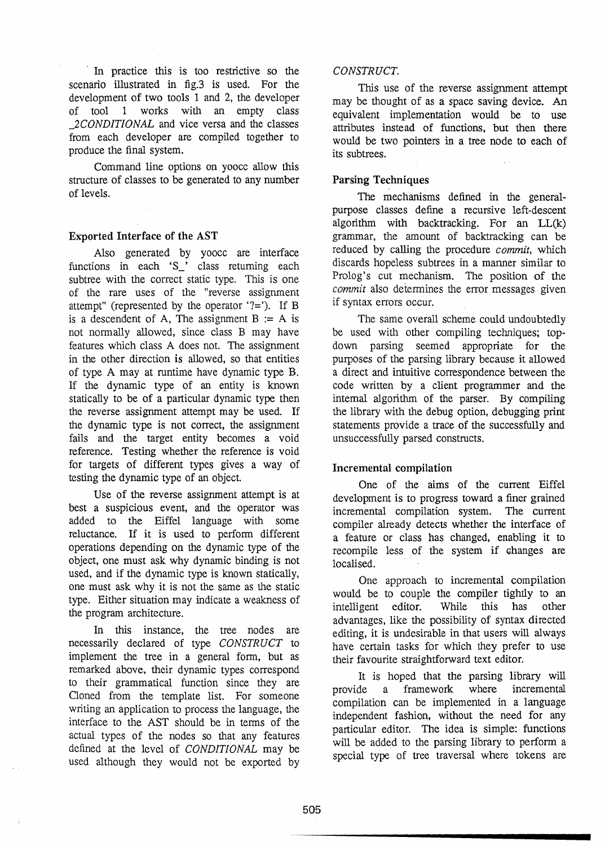In practice this is too restrictive so the scenario illustrated in fig.3 is used. For the development of two tools 1 and 2, the developer of tool 1 works with an empty class *\_2CONDITIONAL* and vice versa and the classes from each developer are compiled together to produce the final system.

Command line options on yoocc allow this structure of classes to be generated to any number of levels.

# Exported Interface of the AST

Also generated by yoocc are interface functions in each 'S\_' class returning each subtree with the correct static type. This is one of the rare uses of the "reverse assignment attempt" (represented by the operator  $?='$ ). If B is a descendent of A, The assignment  $B := A$  is not nonnally allowed, since class B may have features which class A does not. The assignment in the other direction is allowed, so that entities of type A may at runtime have dynamic type B. If the dynamic type of an entity is known statically to be of a particular dynamic type then the reverse assignment attempt may be used. If the dynamic type is not correct, the assignment fails and the target entity becomes a void reference. Testing whether the reference is void for targets of different types gives a way of testing the dynamic type of an object.

Use of the reverse assignment attempt is at best a suspicious event, and the operator was added to the Eiffel language with some reluctance. If it is used to perform different operations depending on the dynamic type of the object, one must ask why dynamic binding is not used, and if the dynamic type is known statically, one must ask why it is not the same as the static type. Either situation may indicate a weakness of the program architecture.

In this instance, the tree nodes are necessarily declared of type *CONSTRUCT* to implement the tree in a general form, but as remarked above, their dynamic types correspond to their grammatical function since they are Cloned from the template list. For someone writing an application to process the language, the interface to the AST should be in terrns of the actual types of the nodes so that any features defined at the level of *CONDITIONAL* may be used although they would not be exported by

## *CONSTRUCT.*

This use of the reverse assignment attempt may be thought of as a space saving device. An equivalent implementation would be to use attributes instead of functions, but then there would be two pointers in a tree node to each of its subtrees.

## Parsing Techniques

The mechanisms defined in the generalpurpose classes define a recursive left-descent algorithm with backtracking. For an LL(k) grammar, the amount of backtracking can be reduced by calling the procedure *commit,* which discards hopeless subtrees in a manner similar to Prolog's cut mechanism. The position of the *commit* also determines the error messages given if syntax errors occur.

The same overall scheme could undoubtedly be used with other compiling techniques; topdown parsing seemed appropriate for the purposes of the parsing library because it allowed a direct and intuitive correspondence between the code written by a client programmer and the internal algorithm of the parser. By compiling the library with the debug option, debugging print statements provide a trace· of the successfully and unsuccessfully parsed constructs.

# Incremental compilation

One of the aims of the current Eiffel development is to progress toward a finer grained incremental compilation system. The current compiler already detects whether the interface of a feature or class has changed, enabling it to recompile less of the system if Ghanges are localised.

One approach to incremental compilation would be to couple the compiler tightly to an intelligent editor. While this has other advantages, like the possibility of syntax directed editing, it is undesirable in that users will always have certain tasks for which they prefer to use their favourite straightforward text editor.

It is hoped that the parsing library will provide a framework where incremental compilation can be implemented in a language independent fashion, without the need for any particular editor. The idea is simple: functions will be added to the parsing library to perform a special type of tree traversal where tokens are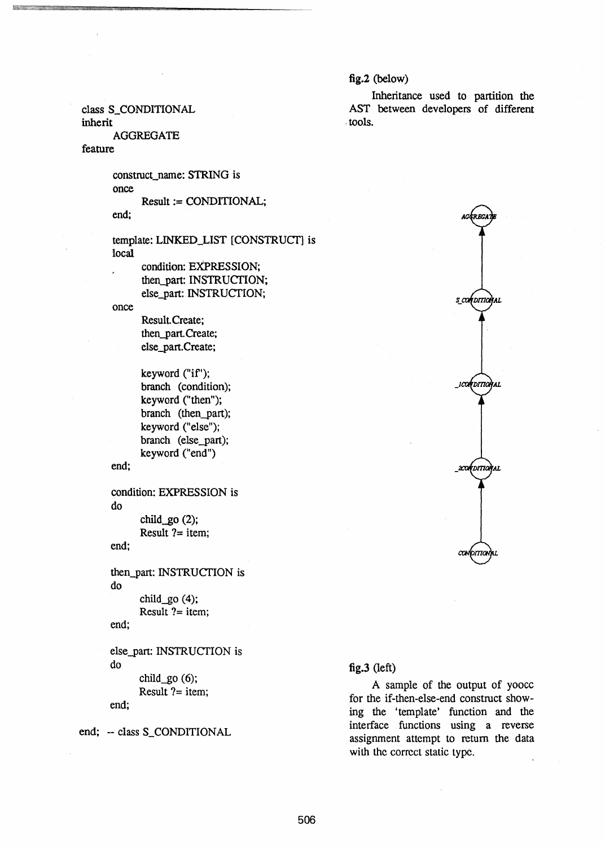# fig.2 (below)

. tools.

class S\_CONDITIONAL

inherit

AGGREGATE

# feature

construct\_name: STRING is once

Result := CONDITIONAL; end;

template: LINKED\_LIST [CONSTRUCf] is local

condition: EXPRESSION; then\_part: INSTRUCfION; else\_part: INSTRUCTION;

once

Result.Create: then-part. Create; else\_part. Create;

keyword ("if'); branch (condition); keyword ("then"); branch (then\_part); keyword ("else"); branch (else\_part); keyword ("end")

end;

condition: EXPRESSION is do

child $g$ o (2); Result ?= item;

end;

then\_part: INSTRUCTION is do

child $g$ o (4); Result  $?$  = item;

end;

else\_part: INSTRUCTION is do

child $g$ o (6); Result  $?$  = item;

end;

end; -- class S\_CONDITIONAL



Inheritance used to partition the AST between developers of different

## fig.3 (left)

A sample of the output of yoocc for the if-then-else-end construct showing the 'template' function and the interface functions using a reverse assignment attempt to return the data with the correct static type.